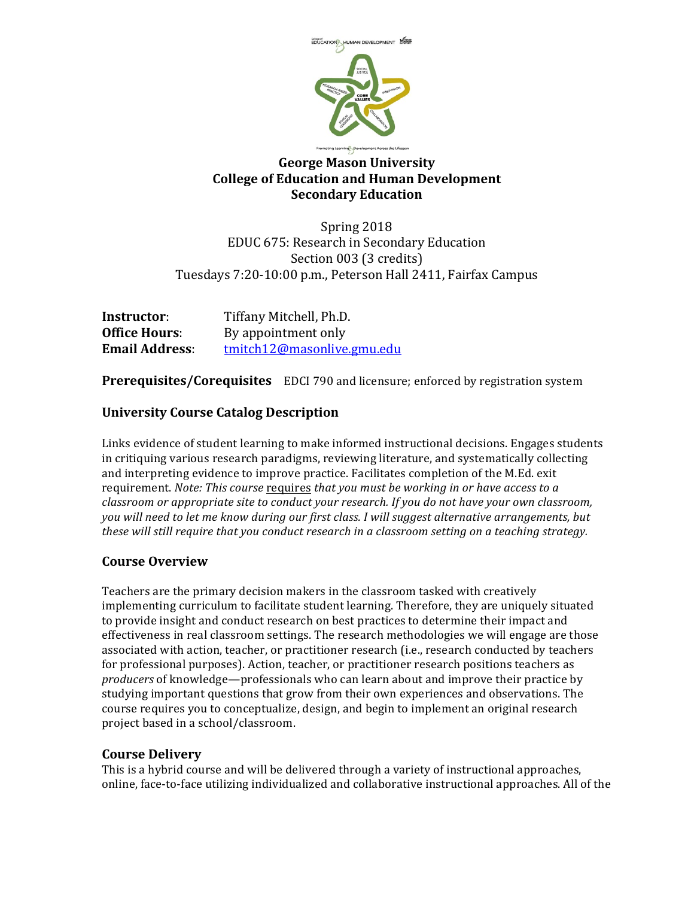

# **George Mason University College of Education and Human Development Secondary Education**

Spring 2018 EDUC 675: Research in Secondary Education Section 003 (3 credits) Tuesdays 7:20-10:00 p.m., Peterson Hall 2411, Fairfax Campus

| Instructor:           | Tiffany Mitchell, Ph.D.    |
|-----------------------|----------------------------|
| <b>Office Hours:</b>  | By appointment only        |
| <b>Email Address:</b> | tmitch12@masonlive.gmu.edu |

**Prerequisites/Corequisites** EDCI 790 and licensure; enforced by registration system

# **University Course Catalog Description**

Links evidence of student learning to make informed instructional decisions. Engages students in critiquing various research paradigms, reviewing literature, and systematically collecting and interpreting evidence to improve practice. Facilitates completion of the M.Ed. exit requirement. *Note: This course* requires *that you must be working in or have access to a classroom or appropriate site to conduct your research. If you do not have your own classroom,* you will need to let me know during our first class. I will suggest alternative arrangements, but *these will still require that you conduct research in a classroom setting on a teaching strategy.* 

## **Course Overview**

Teachers are the primary decision makers in the classroom tasked with creatively implementing curriculum to facilitate student learning. Therefore, they are uniquely situated to provide insight and conduct research on best practices to determine their impact and effectiveness in real classroom settings. The research methodologies we will engage are those associated with action, teacher, or practitioner research (i.e., research conducted by teachers for professional purposes). Action, teacher, or practitioner research positions teachers as *producers* of knowledge—professionals who can learn about and improve their practice by studying important questions that grow from their own experiences and observations. The course requires you to conceptualize, design, and begin to implement an original research project based in a school/classroom.

## **Course Delivery**

This is a hybrid course and will be delivered through a variety of instructional approaches, online, face-to-face utilizing individualized and collaborative instructional approaches. All of the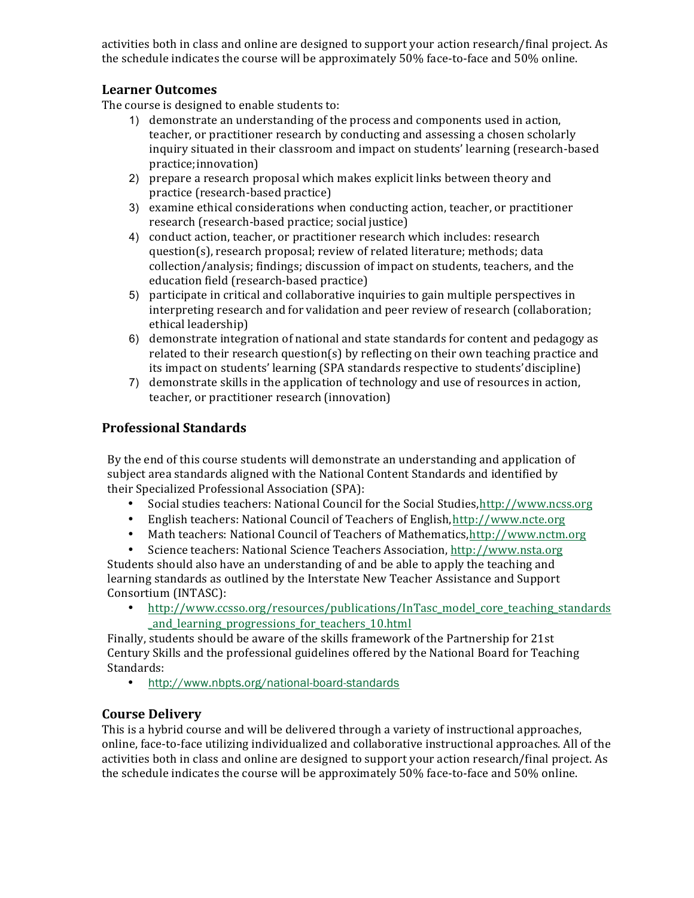activities both in class and online are designed to support your action research/final project. As the schedule indicates the course will be approximately  $50\%$  face-to-face and  $50\%$  online.

# **Learner Outcomes**

The course is designed to enable students to:

- 1) demonstrate an understanding of the process and components used in action, teacher, or practitioner research by conducting and assessing a chosen scholarly inquiry situated in their classroom and impact on students' learning (research-based practice;innovation)
- 2) prepare a research proposal which makes explicit links between theory and practice (research-based practice)
- 3) examine ethical considerations when conducting action, teacher, or practitioner research (research-based practice; social justice)
- 4) conduct action, teacher, or practitioner research which includes: research question(s), research proposal; review of related literature; methods; data collection/analysis; findings; discussion of impact on students, teachers, and the education field (research-based practice)
- 5) participate in critical and collaborative inquiries to gain multiple perspectives in interpreting research and for validation and peer review of research (collaboration; ethical leadership)
- 6) demonstrate integration of national and state standards for content and pedagogy as related to their research question(s) by reflecting on their own teaching practice and its impact on students' learning (SPA standards respective to students' discipline)
- 7) demonstrate skills in the application of technology and use of resources in action, teacher, or practitioner research (innovation)

# **Professional Standards**

By the end of this course students will demonstrate an understanding and application of subject area standards aligned with the National Content Standards and identified by their Specialized Professional Association (SPA):

- Social studies teachers: National Council for the Social Studies,http://www.ncss.org
- English teachers: National Council of Teachers of English, http://www.ncte.org
- Math teachers: National Council of Teachers of Mathematics,http://www.nctm.org
- Science teachers: National Science Teachers Association, http://www.nsta.org

Students should also have an understanding of and be able to apply the teaching and learning standards as outlined by the Interstate New Teacher Assistance and Support Consortium (INTASC):

• http://www.ccsso.org/resources/publications/InTasc\_model\_core\_teaching\_standards \_and\_learning\_progressions\_for\_teachers\_10.html

Finally, students should be aware of the skills framework of the Partnership for 21st Century Skills and the professional guidelines offered by the National Board for Teaching Standards:

• http://www.nbpts.org/national-board-standards

## **Course Delivery**

This is a hybrid course and will be delivered through a variety of instructional approaches, online, face-to-face utilizing individualized and collaborative instructional approaches. All of the activities both in class and online are designed to support your action research/final project. As the schedule indicates the course will be approximately 50% face-to-face and 50% online.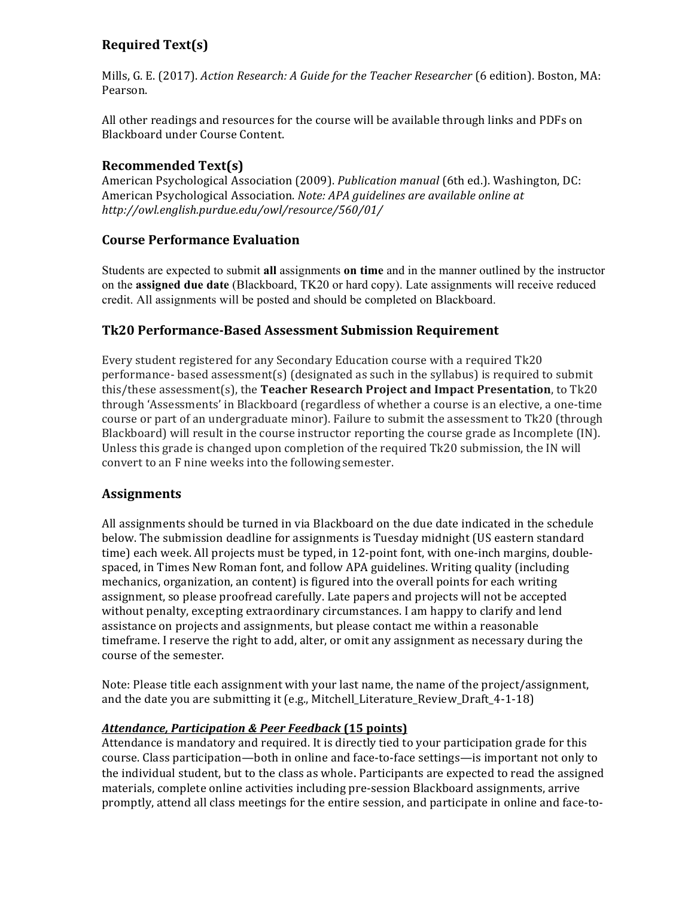# **Required Text(s)**

Mills, G. E. (2017). *Action Research: A Guide for the Teacher Researcher* (6 edition). Boston, MA: Pearson.

All other readings and resources for the course will be available through links and PDFs on Blackboard under Course Content.

# **Recommended Text(s)**

American Psychological Association (2009). *Publication manual* (6th ed.). Washington, DC: American Psychological Association. *Note: APA guidelines are available online at http://owl.english.purdue.edu/owl/resource/560/01/*

## **Course Performance Evaluation**

Students are expected to submit **all** assignments **on time** and in the manner outlined by the instructor on the **assigned due date** (Blackboard, TK20 or hard copy). Late assignments will receive reduced credit. All assignments will be posted and should be completed on Blackboard.

# **Tk20 Performance-Based Assessment Submission Requirement**

Every student registered for any Secondary Education course with a required  $Tk20$ performance- based assessment(s) (designated as such in the syllabus) is required to submit this/these assessment(s), the **Teacher Research Project and Impact Presentation**, to Tk20 through 'Assessments' in Blackboard (regardless of whether a course is an elective, a one-time course or part of an undergraduate minor). Failure to submit the assessment to Tk20 (through Blackboard) will result in the course instructor reporting the course grade as Incomplete (IN). Unless this grade is changed upon completion of the required Tk20 submission, the IN will convert to an F nine weeks into the following semester.

## **Assignments**

All assignments should be turned in via Blackboard on the due date indicated in the schedule below. The submission deadline for assignments is Tuesday midnight (US eastern standard time) each week. All projects must be typed, in 12-point font, with one-inch margins, doublespaced, in Times New Roman font, and follow APA guidelines. Writing quality (including mechanics, organization, an content) is figured into the overall points for each writing assignment, so please proofread carefully. Late papers and projects will not be accepted without penalty, excepting extraordinary circumstances. I am happy to clarify and lend assistance on projects and assignments, but please contact me within a reasonable timeframe. I reserve the right to add, alter, or omit any assignment as necessary during the course of the semester.

Note: Please title each assignment with your last name, the name of the project/assignment, and the date you are submitting it (e.g., Mitchell\_Literature\_Review\_Draft\_4-1-18)

## *Attendance, Participation & Peer Feedback* **(15 points)**

Attendance is mandatory and required. It is directly tied to your participation grade for this course. Class participation—both in online and face-to-face settings—is important not only to the individual student, but to the class as whole. Participants are expected to read the assigned materials, complete online activities including pre-session Blackboard assignments, arrive promptly, attend all class meetings for the entire session, and participate in online and face-to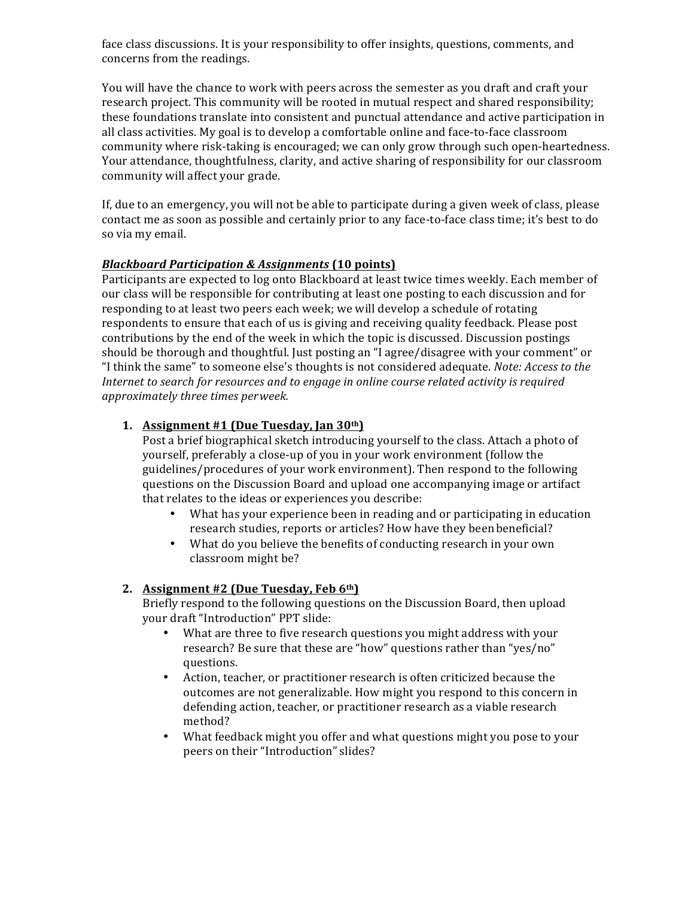face class discussions. It is your responsibility to offer insights, questions, comments, and concerns from the readings.

You will have the chance to work with peers across the semester as you draft and craft your research project. This community will be rooted in mutual respect and shared responsibility; these foundations translate into consistent and punctual attendance and active participation in all class activities. My goal is to develop a comfortable online and face-to-face classroom community where risk-taking is encouraged; we can only grow through such open-heartedness. Your attendance, thoughtfulness, clarity, and active sharing of responsibility for our classroom community will affect your grade.

If, due to an emergency, you will not be able to participate during a given week of class, please contact me as soon as possible and certainly prior to any face-to-face class time; it's best to do so via my email.

#### *Blackboard Participation & Assignments* **(10 points)**

Participants are expected to log onto Blackboard at least twice times weekly. Each member of our class will be responsible for contributing at least one posting to each discussion and for responding to at least two peers each week; we will develop a schedule of rotating respondents to ensure that each of us is giving and receiving quality feedback. Please post contributions by the end of the week in which the topic is discussed. Discussion postings should be thorough and thoughtful. Just posting an "I agree/disagree with your comment" or "I think the same" to someone else's thoughts is not considered adequate. *Note: Access to the Internet to search for resources and to engage in online course related activity is required approximately three times perweek.*

#### **1. Assignment #1 (Due Tuesday, Jan 30th)**

Post a brief biographical sketch introducing yourself to the class. Attach a photo of yourself, preferably a close-up of you in your work environment (follow the guidelines/procedures of your work environment). Then respond to the following questions on the Discussion Board and upload one accompanying image or artifact that relates to the ideas or experiences you describe:

- What has your experience been in reading and or participating in education research studies, reports or articles? How have they been beneficial?
- What do you believe the benefits of conducting research in your own classroom might be?

## **2. Assignment #2 (Due Tuesday, Feb 6th)**

Briefly respond to the following questions on the Discussion Board, then upload your draft "Introduction" PPT slide:

- What are three to five research questions you might address with your research? Be sure that these are "how" questions rather than "yes/no" questions.
- Action, teacher, or practitioner research is often criticized because the outcomes are not generalizable. How might you respond to this concern in defending action, teacher, or practitioner research as a viable research method?
- What feedback might you offer and what questions might you pose to your peers on their "Introduction" slides?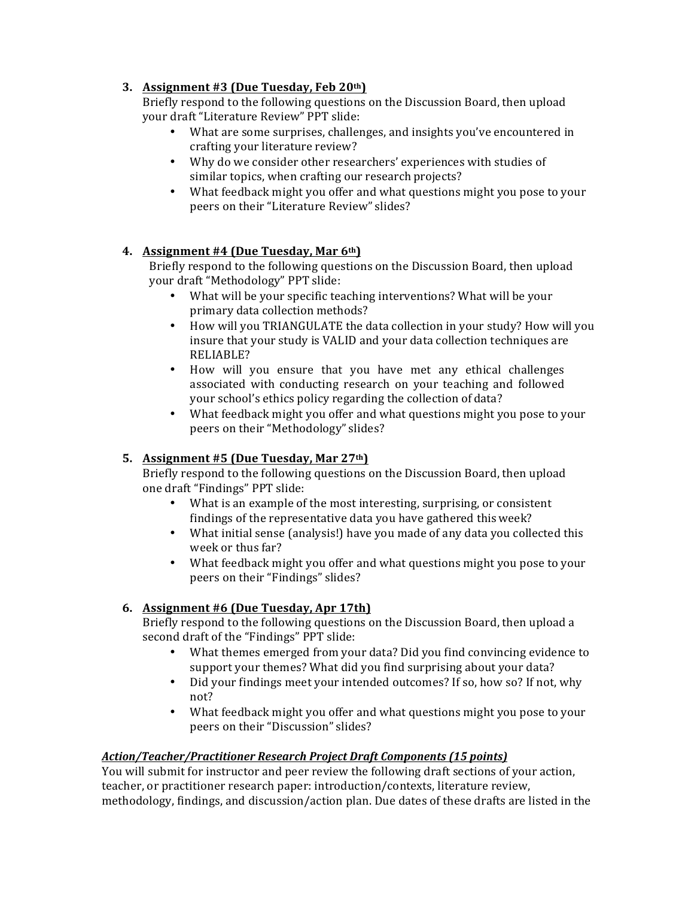## **3. Assignment #3 (Due Tuesday, Feb 20th)**

Briefly respond to the following questions on the Discussion Board, then upload your draft "Literature Review" PPT slide:

- What are some surprises, challenges, and insights you've encountered in crafting your literature review?
- Why do we consider other researchers' experiences with studies of similar topics, when crafting our research projects?
- What feedback might you offer and what questions might you pose to your peers on their "Literature Review" slides?

#### **4. Assignment #4 (Due Tuesday, Mar 6th)**

Briefly respond to the following questions on the Discussion Board, then upload your draft "Methodology" PPT slide:

- What will be your specific teaching interventions? What will be your primary data collection methods?
- How will you TRIANGULATE the data collection in your study? How will you insure that your study is VALID and your data collection techniques are RELIABLE?
- How will you ensure that you have met any ethical challenges associated with conducting research on your teaching and followed your school's ethics policy regarding the collection of data?
- What feedback might you offer and what questions might you pose to your peers on their "Methodology" slides?

## **5. Assignment #5 (Due Tuesday, Mar 27th)**

Briefly respond to the following questions on the Discussion Board, then upload one draft "Findings" PPT slide:

- What is an example of the most interesting, surprising, or consistent findings of the representative data you have gathered this week?
- What initial sense (analysis!) have you made of any data you collected this week or thus far?
- What feedback might you offer and what questions might you pose to your peers on their "Findings" slides?

## **6. Assignment #6 (Due Tuesday, Apr 17th)**

Briefly respond to the following questions on the Discussion Board, then upload a second draft of the "Findings" PPT slide:

- What themes emerged from your data? Did you find convincing evidence to support your themes? What did you find surprising about your data?
- Did your findings meet your intended outcomes? If so, how so? If not, why not?
- What feedback might you offer and what questions might you pose to your peers on their "Discussion" slides?

#### *Action/Teacher/Practitioner Research Project Draft Components (15 points)*

You will submit for instructor and peer review the following draft sections of your action, teacher, or practitioner research paper: introduction/contexts, literature review, methodology, findings, and discussion/action plan. Due dates of these drafts are listed in the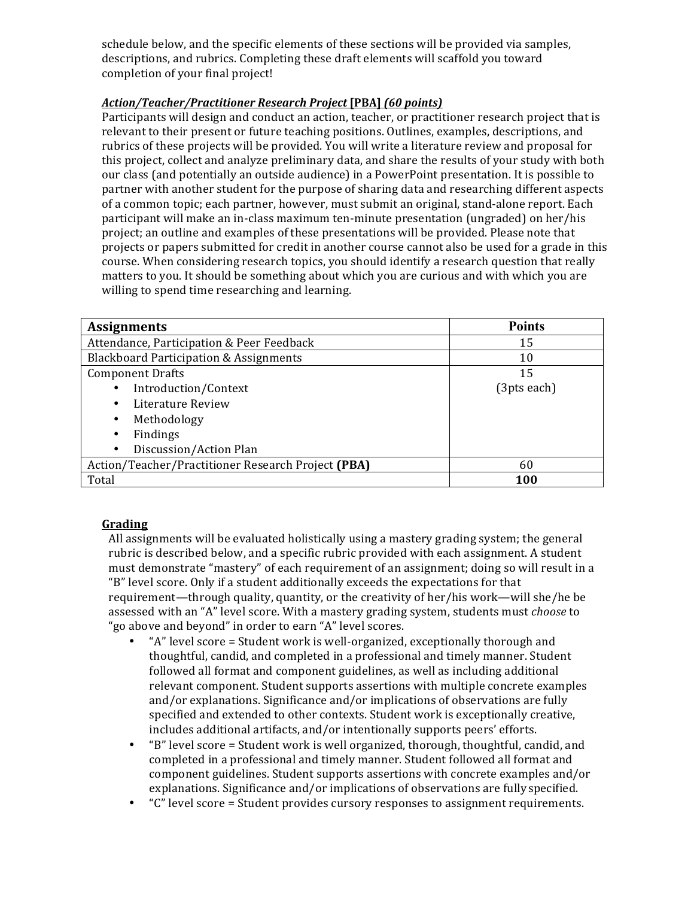schedule below, and the specific elements of these sections will be provided via samples, descriptions, and rubrics. Completing these draft elements will scaffold you toward completion of your final project!

#### *Action/Teacher/Practitioner Research Project* **[PBA]** *(60 points)*

Participants will design and conduct an action, teacher, or practitioner research project that is relevant to their present or future teaching positions. Outlines, examples, descriptions, and rubrics of these projects will be provided. You will write a literature review and proposal for this project, collect and analyze preliminary data, and share the results of your study with both our class (and potentially an outside audience) in a PowerPoint presentation. It is possible to partner with another student for the purpose of sharing data and researching different aspects of a common topic; each partner, however, must submit an original, stand-alone report. Each participant will make an in-class maximum ten-minute presentation (ungraded) on her/his project; an outline and examples of these presentations will be provided. Please note that projects or papers submitted for credit in another course cannot also be used for a grade in this course. When considering research topics, you should identify a research question that really matters to you. It should be something about which you are curious and with which you are willing to spend time researching and learning.

| <b>Assignments</b>                                 | <b>Points</b> |
|----------------------------------------------------|---------------|
| Attendance, Participation & Peer Feedback          | 15            |
| <b>Blackboard Participation &amp; Assignments</b>  | 10            |
| <b>Component Drafts</b>                            | 15            |
| Introduction/Context                               | (3pts each)   |
| Literature Review<br>٠                             |               |
| Methodology                                        |               |
| Findings<br>٠                                      |               |
| Discussion/Action Plan                             |               |
| Action/Teacher/Practitioner Research Project (PBA) | 60            |
| Total                                              | 100           |

## **Grading**

All assignments will be evaluated holistically using a mastery grading system; the general rubric is described below, and a specific rubric provided with each assignment. A student must demonstrate "mastery" of each requirement of an assignment; doing so will result in a "B" level score. Only if a student additionally exceeds the expectations for that requirement—through quality, quantity, or the creativity of her/his work—will she/he be assessed with an "A" level score. With a mastery grading system, students must *choose* to "go above and beyond" in order to earn "A" level scores.

- "A" level score = Student work is well-organized, exceptionally thorough and thoughtful, candid, and completed in a professional and timely manner. Student followed all format and component guidelines, as well as including additional relevant component. Student supports assertions with multiple concrete examples and/or explanations. Significance and/or implications of observations are fully specified and extended to other contexts. Student work is exceptionally creative, includes additional artifacts, and/or intentionally supports peers' efforts.
- "B" level score = Student work is well organized, thorough, thoughtful, candid, and completed in a professional and timely manner. Student followed all format and component guidelines. Student supports assertions with concrete examples and/or explanations. Significance and/or implications of observations are fully specified.
- "C" level score = Student provides cursory responses to assignment requirements.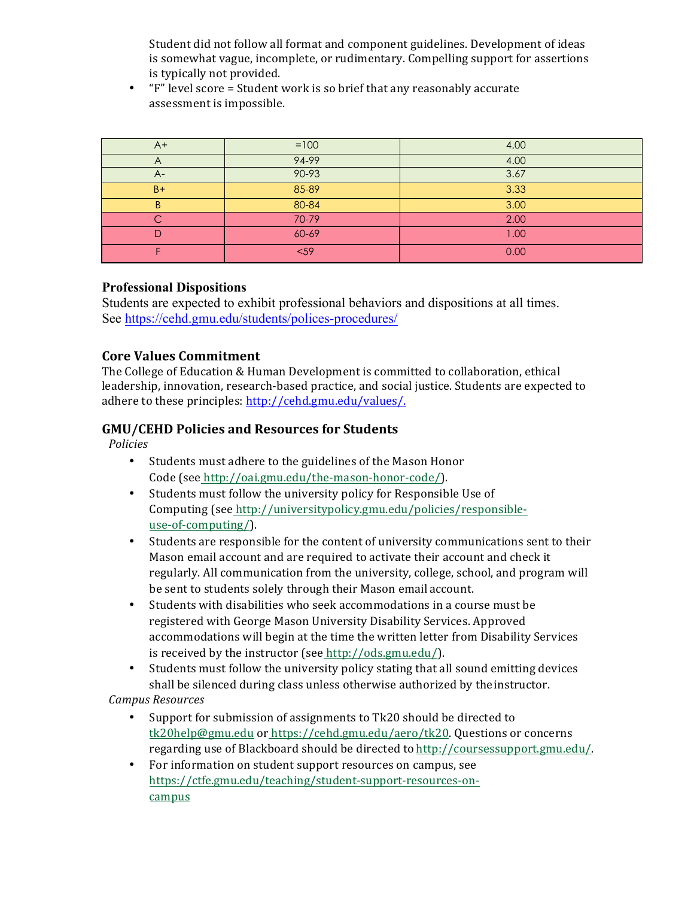Student did not follow all format and component guidelines. Development of ideas is somewhat vague, incomplete, or rudimentary. Compelling support for assertions is typically not provided.

" $F$ " level score = Student work is so brief that any reasonably accurate assessment is impossible.

| $A+$ | $=100$ | 4.00 |
|------|--------|------|
|      | 94-99  | 4.00 |
| $A-$ | 90-93  | 3.67 |
| $B+$ | 85-89  | 3.33 |
| B    | 80-84  | 3.00 |
|      | 70-79  | 2.00 |
|      | 60-69  | 00.1 |
|      | $59$   | 0.00 |

#### **Professional Dispositions**

Students are expected to exhibit professional behaviors and dispositions at all times. See https://cehd.gmu.edu/students/polices-procedures/

## **Core Values Commitment**

The College of Education & Human Development is committed to collaboration, ethical leadership, innovation, research-based practice, and social justice. Students are expected to adhere to these principles: http://cehd.gmu.edu/values/.

# **GMU/CEHD Policies and Resources for Students**

*Policies*

- Students must adhere to the guidelines of the Mason Honor Code (see http://oai.gmu.edu/the-mason-honor-code/).
- Students must follow the university policy for Responsible Use of Computing (see http://universitypolicy.gmu.edu/policies/responsibleuse-of-computing/).
- Students are responsible for the content of university communications sent to their Mason email account and are required to activate their account and check it regularly. All communication from the university, college, school, and program will be sent to students solely through their Mason email account.
- Students with disabilities who seek accommodations in a course must be registered with George Mason University Disability Services. Approved accommodations will begin at the time the written letter from Disability Services is received by the instructor (see http://ods.gmu.edu/).
- Students must follow the university policy stating that all sound emitting devices shall be silenced during class unless otherwise authorized by the instructor.

*Campus Resources*

- Support for submission of assignments to Tk20 should be directed to tk20help@gmu.edu or https://cehd.gmu.edu/aero/tk20. Questions or concerns regarding use of Blackboard should be directed to http://coursessupport.gmu.edu/.
- For information on student support resources on campus, see https://ctfe.gmu.edu/teaching/student-support-resources-oncampus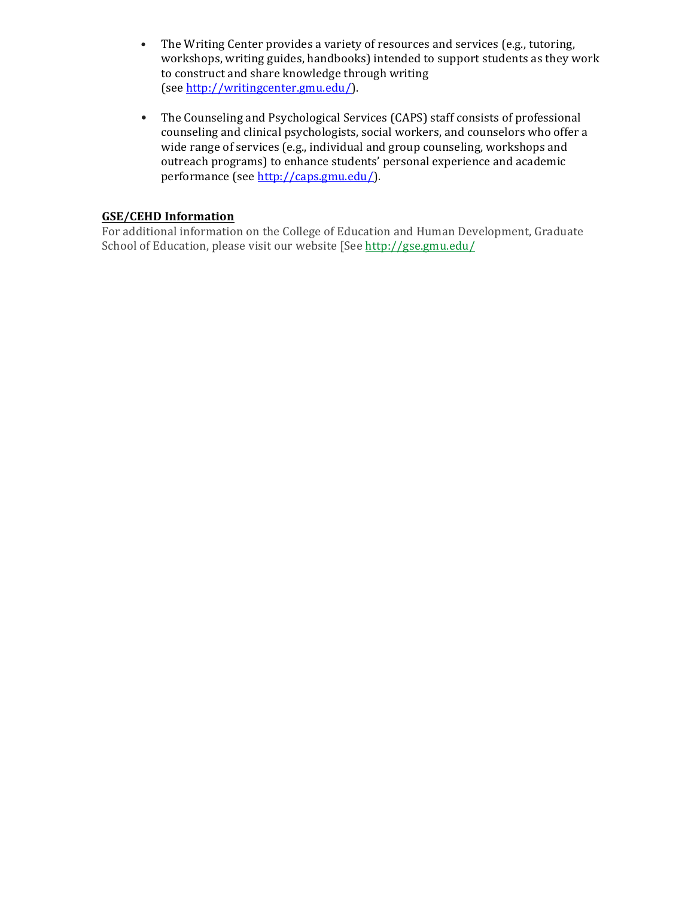- The Writing Center provides a variety of resources and services (e.g., tutoring, workshops, writing guides, handbooks) intended to support students as they work to construct and share knowledge through writing (see http://writingcenter.gmu.edu/).
- The Counseling and Psychological Services (CAPS) staff consists of professional counseling and clinical psychologists, social workers, and counselors who offer a wide range of services (e.g., individual and group counseling, workshops and outreach programs) to enhance students' personal experience and academic performance (see http://caps.gmu.edu/).

#### **GSE/CEHD Information**

For additional information on the College of Education and Human Development, Graduate School of Education, please visit our website [See http://gse.gmu.edu/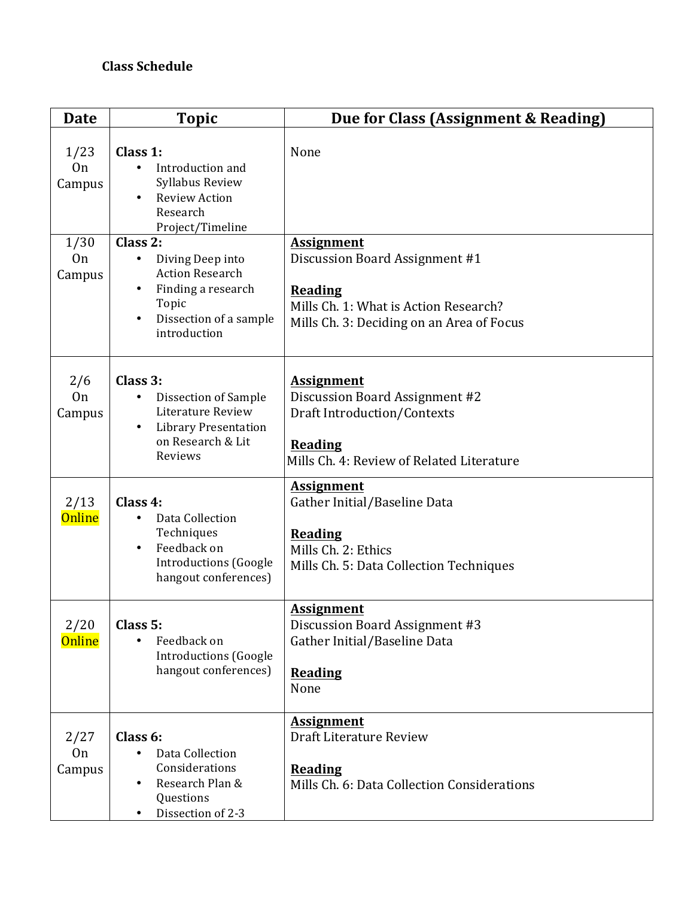# **Class Schedule**

| <b>Date</b>                      | <b>Topic</b>                                                                                                                         | Due for Class (Assignment & Reading)                                                                                                                        |
|----------------------------------|--------------------------------------------------------------------------------------------------------------------------------------|-------------------------------------------------------------------------------------------------------------------------------------------------------------|
| 1/23<br><b>On</b><br>Campus      | Class 1:<br>Introduction and<br>Syllabus Review<br><b>Review Action</b><br>Research<br>Project/Timeline                              | None                                                                                                                                                        |
| 1/30<br><b>On</b><br>Campus      | Class 2:<br>Diving Deep into<br>٠<br><b>Action Research</b><br>Finding a research<br>Topic<br>Dissection of a sample<br>introduction | <b>Assignment</b><br>Discussion Board Assignment #1<br><b>Reading</b><br>Mills Ch. 1: What is Action Research?<br>Mills Ch. 3: Deciding on an Area of Focus |
| 2/6<br><b>On</b><br>Campus       | Class 3:<br>Dissection of Sample<br>$\bullet$<br>Literature Review<br><b>Library Presentation</b><br>on Research & Lit<br>Reviews    | <b>Assignment</b><br>Discussion Board Assignment #2<br><b>Draft Introduction/Contexts</b><br><b>Reading</b><br>Mills Ch. 4: Review of Related Literature    |
| 2/13<br><b>Online</b>            | Class 4:<br>Data Collection<br>Techniques<br>Feedback on<br>$\bullet$<br><b>Introductions (Google</b><br>hangout conferences)        | <b>Assignment</b><br>Gather Initial/Baseline Data<br><b>Reading</b><br>Mills Ch. 2: Ethics<br>Mills Ch. 5: Data Collection Techniques                       |
| 2/20<br><b>Online</b>            | Class 5:<br>Feedback on<br><b>Introductions (Google</b><br>hangout conferences)                                                      | <b>Assignment</b><br>Discussion Board Assignment #3<br>Gather Initial/Baseline Data<br><b>Reading</b><br>None                                               |
| 2/27<br>0 <sub>n</sub><br>Campus | Class 6:<br>Data Collection<br>Considerations<br>Research Plan &<br>Questions<br>Dissection of 2-3                                   | <b>Assignment</b><br>Draft Literature Review<br><b>Reading</b><br>Mills Ch. 6: Data Collection Considerations                                               |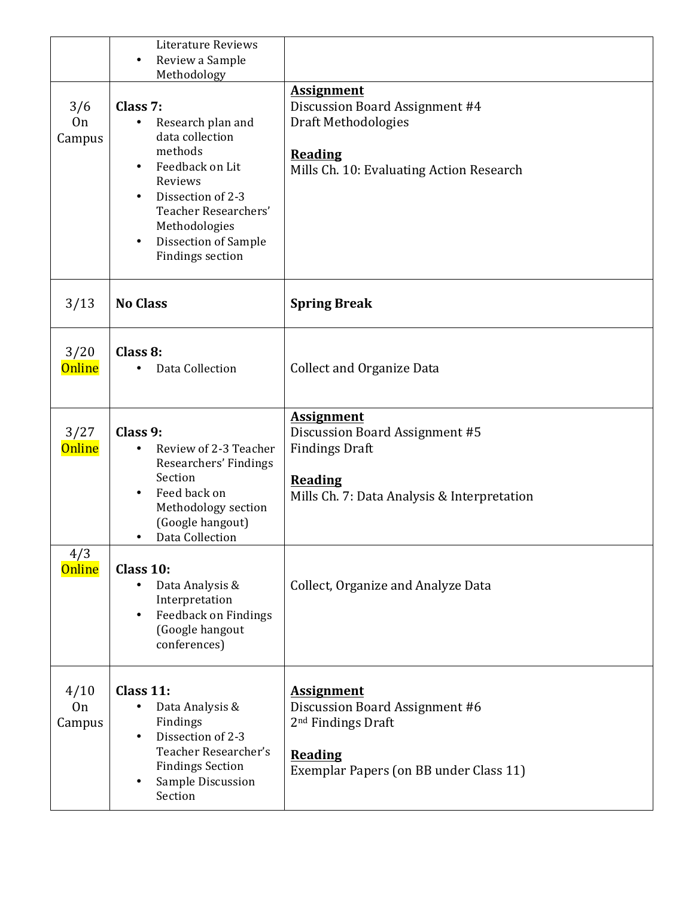|                                  | <b>Literature Reviews</b><br>Review a Sample<br>$\bullet$<br>Methodology                                                                                                                                                                               |                                                                                                                                                   |
|----------------------------------|--------------------------------------------------------------------------------------------------------------------------------------------------------------------------------------------------------------------------------------------------------|---------------------------------------------------------------------------------------------------------------------------------------------------|
| 3/6<br><b>On</b><br>Campus       | Class 7:<br>Research plan and<br>٠<br>data collection<br>methods<br>Feedback on Lit<br>$\bullet$<br>Reviews<br>Dissection of 2-3<br>$\bullet$<br>Teacher Researchers'<br>Methodologies<br>Dissection of Sample<br>$\bullet$<br><b>Findings section</b> | <b>Assignment</b><br>Discussion Board Assignment #4<br>Draft Methodologies<br><b>Reading</b><br>Mills Ch. 10: Evaluating Action Research          |
| 3/13                             | <b>No Class</b>                                                                                                                                                                                                                                        | <b>Spring Break</b>                                                                                                                               |
| 3/20<br><b>Online</b>            | Class 8:<br>Data Collection                                                                                                                                                                                                                            | <b>Collect and Organize Data</b>                                                                                                                  |
| 3/27<br><b>Online</b>            | Class 9:<br>Review of 2-3 Teacher<br>$\bullet$<br>Researchers' Findings<br>Section<br>Feed back on<br>$\bullet$<br>Methodology section<br>(Google hangout)<br>Data Collection<br>٠                                                                     | <b>Assignment</b><br>Discussion Board Assignment #5<br><b>Findings Draft</b><br><b>Reading</b><br>Mills Ch. 7: Data Analysis & Interpretation     |
| 4/3<br><b>Online</b>             | Class 10:<br>Data Analysis &<br>$\bullet$<br>Interpretation<br>Feedback on Findings<br>$\bullet$<br>(Google hangout<br>conferences)                                                                                                                    | Collect, Organize and Analyze Data                                                                                                                |
| 4/10<br>0 <sub>n</sub><br>Campus | Class 11:<br>Data Analysis &<br>٠<br>Findings<br>Dissection of 2-3<br>$\bullet$<br>Teacher Researcher's<br><b>Findings Section</b><br>Sample Discussion<br>٠<br>Section                                                                                | <b>Assignment</b><br>Discussion Board Assignment #6<br>2 <sup>nd</sup> Findings Draft<br><b>Reading</b><br>Exemplar Papers (on BB under Class 11) |